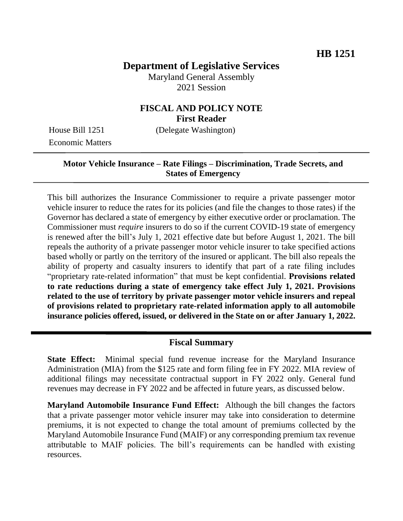## **Department of Legislative Services**

Maryland General Assembly 2021 Session

## **FISCAL AND POLICY NOTE First Reader**

Economic Matters

House Bill 1251 (Delegate Washington)

### **Motor Vehicle Insurance – Rate Filings – Discrimination, Trade Secrets, and States of Emergency**

This bill authorizes the Insurance Commissioner to require a private passenger motor vehicle insurer to reduce the rates for its policies (and file the changes to those rates) if the Governor has declared a state of emergency by either executive order or proclamation. The Commissioner must *require* insurers to do so if the current COVID-19 state of emergency is renewed after the bill's July 1, 2021 effective date but before August 1, 2021. The bill repeals the authority of a private passenger motor vehicle insurer to take specified actions based wholly or partly on the territory of the insured or applicant. The bill also repeals the ability of property and casualty insurers to identify that part of a rate filing includes "proprietary rate-related information" that must be kept confidential. **Provisions related to rate reductions during a state of emergency take effect July 1, 2021. Provisions related to the use of territory by private passenger motor vehicle insurers and repeal of provisions related to proprietary rate-related information apply to all automobile insurance policies offered, issued, or delivered in the State on or after January 1, 2022.**

#### **Fiscal Summary**

**State Effect:** Minimal special fund revenue increase for the Maryland Insurance Administration (MIA) from the \$125 rate and form filing fee in FY 2022. MIA review of additional filings may necessitate contractual support in FY 2022 only. General fund revenues may decrease in FY 2022 and be affected in future years, as discussed below.

**Maryland Automobile Insurance Fund Effect:** Although the bill changes the factors that a private passenger motor vehicle insurer may take into consideration to determine premiums, it is not expected to change the total amount of premiums collected by the Maryland Automobile Insurance Fund (MAIF) or any corresponding premium tax revenue attributable to MAIF policies. The bill's requirements can be handled with existing resources.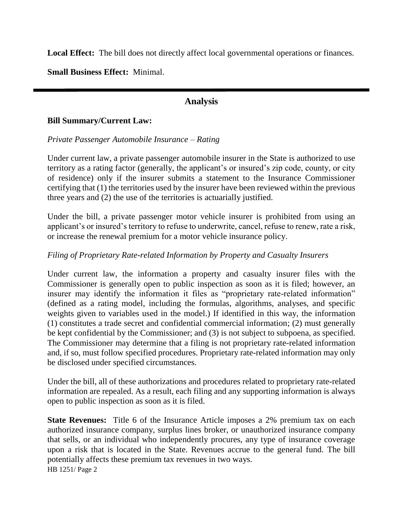Local Effect: The bill does not directly affect local governmental operations or finances.

**Small Business Effect:** Minimal.

## **Analysis**

#### **Bill Summary/Current Law:**

#### *Private Passenger Automobile Insurance – Rating*

Under current law, a private passenger automobile insurer in the State is authorized to use territory as a rating factor (generally, the applicant's or insured's zip code, county, or city of residence) only if the insurer submits a statement to the Insurance Commissioner certifying that (1) the territories used by the insurer have been reviewed within the previous three years and (2) the use of the territories is actuarially justified.

Under the bill, a private passenger motor vehicle insurer is prohibited from using an applicant's or insured's territory to refuse to underwrite, cancel, refuse to renew, rate a risk, or increase the renewal premium for a motor vehicle insurance policy.

#### *Filing of Proprietary Rate-related Information by Property and Casualty Insurers*

Under current law, the information a property and casualty insurer files with the Commissioner is generally open to public inspection as soon as it is filed; however, an insurer may identify the information it files as "proprietary rate-related information" (defined as a rating model, including the formulas, algorithms, analyses, and specific weights given to variables used in the model.) If identified in this way, the information (1) constitutes a trade secret and confidential commercial information; (2) must generally be kept confidential by the Commissioner; and (3) is not subject to subpoena, as specified. The Commissioner may determine that a filing is not proprietary rate-related information and, if so, must follow specified procedures. Proprietary rate-related information may only be disclosed under specified circumstances.

Under the bill, all of these authorizations and procedures related to proprietary rate-related information are repealed. As a result, each filing and any supporting information is always open to public inspection as soon as it is filed.

HB 1251/ Page 2 **State Revenues:** Title 6 of the Insurance Article imposes a 2% premium tax on each authorized insurance company, surplus lines broker, or unauthorized insurance company that sells, or an individual who independently procures, any type of insurance coverage upon a risk that is located in the State. Revenues accrue to the general fund. The bill potentially affects these premium tax revenues in two ways.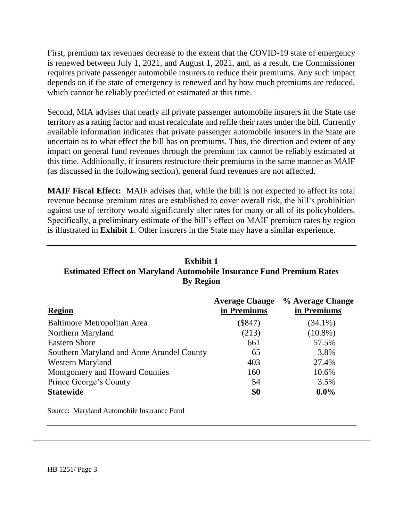First, premium tax revenues decrease to the extent that the COVID-19 state of emergency is renewed between July 1, 2021, and August 1, 2021, and, as a result, the Commissioner requires private passenger automobile insurers to reduce their premiums. Any such impact depends on if the state of emergency is renewed and by how much premiums are reduced, which cannot be reliably predicted or estimated at this time.

Second, MIA advises that nearly all private passenger automobile insurers in the State use territory as a rating factor and must recalculate and refile their rates under the bill. Currently available information indicates that private passenger automobile insurers in the State are uncertain as to what effect the bill has on premiums. Thus, the direction and extent of any impact on general fund revenues through the premium tax cannot be reliably estimated at this time. Additionally, if insurers restructure their premiums in the same manner as MAIF (as discussed in the following section), general fund revenues are not affected.

**MAIF Fiscal Effect:** MAIF advises that, while the bill is not expected to affect its total revenue because premium rates are established to cover overall risk, the bill's prohibition against use of territory would significantly alter rates for many or all of its policyholders. Specifically, a preliminary estimate of the bill's effect on MAIF premium rates by region is illustrated in **Exhibit 1**. Other insurers in the State may have a similar experience.

# **Exhibit 1 Estimated Effect on Maryland Automobile Insurance Fund Premium Rates By Region**

|                                           | <b>Average Change</b> | % Average Change |
|-------------------------------------------|-----------------------|------------------|
| <b>Region</b>                             | in Premiums           | in Premiums      |
| Baltimore Metropolitan Area               | $(\$847)$             | $(34.1\%)$       |
| Northern Maryland                         | (213)                 | $(10.8\%)$       |
| <b>Eastern Shore</b>                      | 661                   | 57.5%            |
| Southern Maryland and Anne Arundel County | 65                    | 3.8%             |
| Western Maryland                          | 403                   | 27.4%            |
| Montgomery and Howard Counties            | 160                   | 10.6%            |
| Prince George's County                    | 54                    | 3.5%             |
| <b>Statewide</b>                          | \$0                   | $0.0\%$          |

Source: Maryland Automobile Insurance Fund